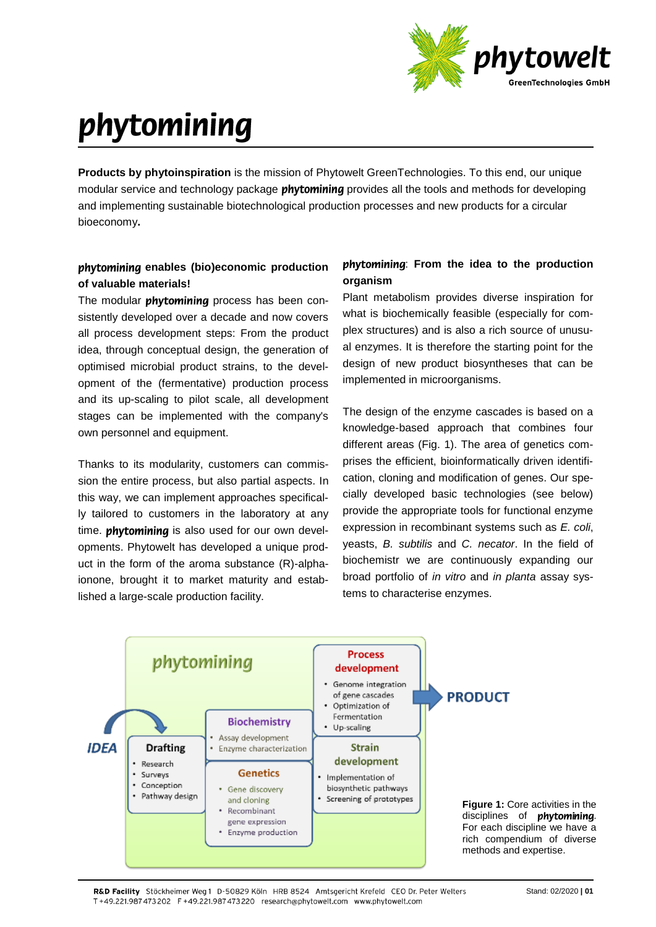

# phytomining

**Products by phytoinspiration** is the mission of Phytowelt GreenTechnologies. To this end, our unique modular service and technology package **phytomining** provides all the tools and methods for developing and implementing sustainable biotechnological production processes and new products for a circular bioeconomy**.**

## **phytomining enables (bio)economic production of valuable materials!**

The modular *phytomining* process has been consistently developed over a decade and now covers all process development steps: From the product idea, through conceptual design, the generation of optimised microbial product strains, to the development of the (fermentative) production process and its up-scaling to pilot scale, all development stages can be implemented with the company's own personnel and equipment.

Thanks to its modularity, customers can commission the entire process, but also partial aspects. In this way, we can implement approaches specifically tailored to customers in the laboratory at any time. **phytomining** is also used for our own developments. Phytowelt has developed a unique product in the form of the aroma substance (R)-alphaionone, brought it to market maturity and established a large-scale production facility.

## : **From the idea to the production organism**

Plant metabolism provides diverse inspiration for what is biochemically feasible (especially for complex structures) and is also a rich source of unusual enzymes. It is therefore the starting point for the design of new product biosyntheses that can be implemented in microorganisms.

The design of the enzyme cascades is based on a knowledge-based approach that combines four different areas (Fig. 1). The area of genetics comprises the efficient, bioinformatically driven identification, cloning and modification of genes. Our specially developed basic technologies (see below) provide the appropriate tools for functional enzyme expression in recombinant systems such as *E. coli*, yeasts, *B. subtilis* and *C. necator*. In the field of biochemistr we are continuously expanding our broad portfolio of *in vitro* and *in planta* assay systems to characterise enzymes.



R&D Facility, Stöckheimer Weg 1, D-50829 Köln, HRB 8524, Amtsgericht Krefeld, CEO Dr. Peter Welters T+49.221.987473202 F+49.221.987473220 research@phytowelt.com www.phytowelt.com